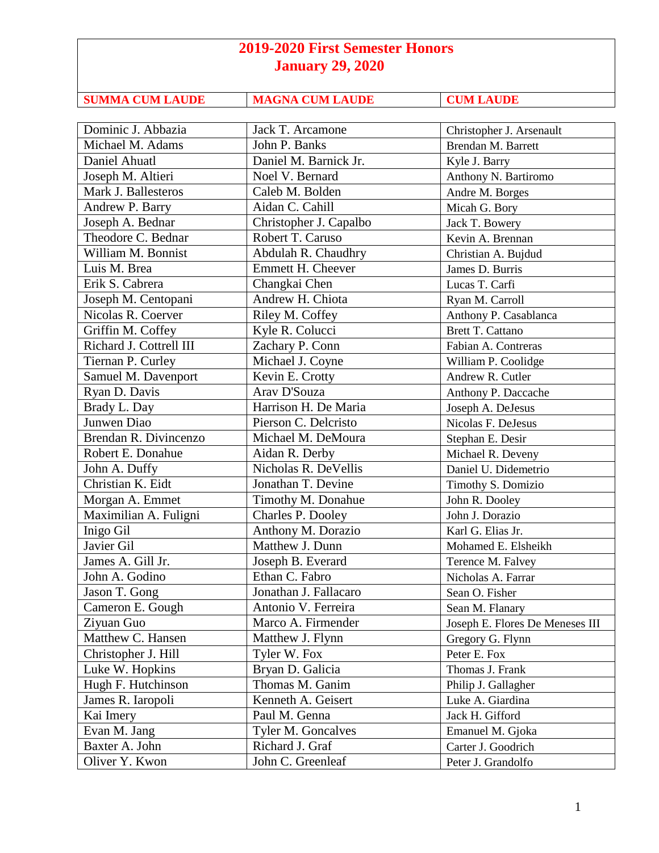| <b>SUMMA CUM LAUDE</b> |
|------------------------|
|                        |

**SUMMA CUM LAUDE CUM LAUDE** 

| Dominic J. Abbazia      | Jack T. Arcamone          | Christopher J. Arsenault        |
|-------------------------|---------------------------|---------------------------------|
| Michael M. Adams        | John P. Banks             | Brendan M. Barrett              |
| Daniel Ahuatl           | Daniel M. Barnick Jr.     | Kyle J. Barry                   |
| Joseph M. Altieri       | Noel V. Bernard           | Anthony N. Bartiromo            |
| Mark J. Ballesteros     | Caleb M. Bolden           | Andre M. Borges                 |
| Andrew P. Barry         | Aidan C. Cahill           | Micah G. Bory                   |
| Joseph A. Bednar        | Christopher J. Capalbo    | Jack T. Bowery                  |
| Theodore C. Bednar      | Robert T. Caruso          | Kevin A. Brennan                |
| William M. Bonnist      | Abdulah R. Chaudhry       | Christian A. Bujdud             |
| Luis M. Brea            | Emmett H. Cheever         | James D. Burris                 |
| Erik S. Cabrera         | Changkai Chen             | Lucas T. Carfi                  |
| Joseph M. Centopani     | Andrew H. Chiota          | Ryan M. Carroll                 |
| Nicolas R. Coerver      | Riley M. Coffey           | Anthony P. Casablanca           |
| Griffin M. Coffey       | Kyle R. Colucci           | <b>Brett T. Cattano</b>         |
| Richard J. Cottrell III | Zachary P. Conn           | Fabian A. Contreras             |
| Tiernan P. Curley       | Michael J. Coyne          | William P. Coolidge             |
| Samuel M. Davenport     | Kevin E. Crotty           | Andrew R. Cutler                |
| Ryan D. Davis           | Arav D'Souza              | Anthony P. Daccache             |
| Brady L. Day            | Harrison H. De Maria      | Joseph A. DeJesus               |
| Junwen Diao             | Pierson C. Delcristo      | Nicolas F. DeJesus              |
| Brendan R. Divincenzo   | Michael M. DeMoura        | Stephan E. Desir                |
| Robert E. Donahue       | Aidan R. Derby            | Michael R. Deveny               |
| John A. Duffy           | Nicholas R. DeVellis      | Daniel U. Didemetrio            |
| Christian K. Eidt       | Jonathan T. Devine        | Timothy S. Domizio              |
| Morgan A. Emmet         | Timothy M. Donahue        | John R. Dooley                  |
| Maximilian A. Fuligni   | Charles P. Dooley         | John J. Dorazio                 |
| Inigo Gil               | Anthony M. Dorazio        | Karl G. Elias Jr.               |
| Javier Gil              | Matthew J. Dunn           | Mohamed E. Elsheikh             |
| James A. Gill Jr.       | Joseph B. Everard         | Terence M. Falvey               |
| John A. Godino          | Ethan C. Fabro            | Nicholas A. Farrar              |
| Jason T. Gong           | Jonathan J. Fallacaro     | Sean O. Fisher                  |
| Cameron E. Gough        | Antonio V. Ferreira       | Sean M. Flanary                 |
| Ziyuan Guo              | Marco A. Firmender        | Joseph E. Flores De Meneses III |
| Matthew C. Hansen       | Matthew J. Flynn          | Gregory G. Flynn                |
| Christopher J. Hill     | Tyler W. Fox              | Peter E. Fox                    |
| Luke W. Hopkins         | Bryan D. Galicia          | Thomas J. Frank                 |
| Hugh F. Hutchinson      | Thomas M. Ganim           | Philip J. Gallagher             |
| James R. Iaropoli       | Kenneth A. Geisert        | Luke A. Giardina                |
| Kai Imery               | Paul M. Genna             | Jack H. Gifford                 |
| Evan M. Jang            | <b>Tyler M. Goncalves</b> | Emanuel M. Gjoka                |
| Baxter A. John          | Richard J. Graf           | Carter J. Goodrich              |
| Oliver Y. Kwon          | John C. Greenleaf         | Peter J. Grandolfo              |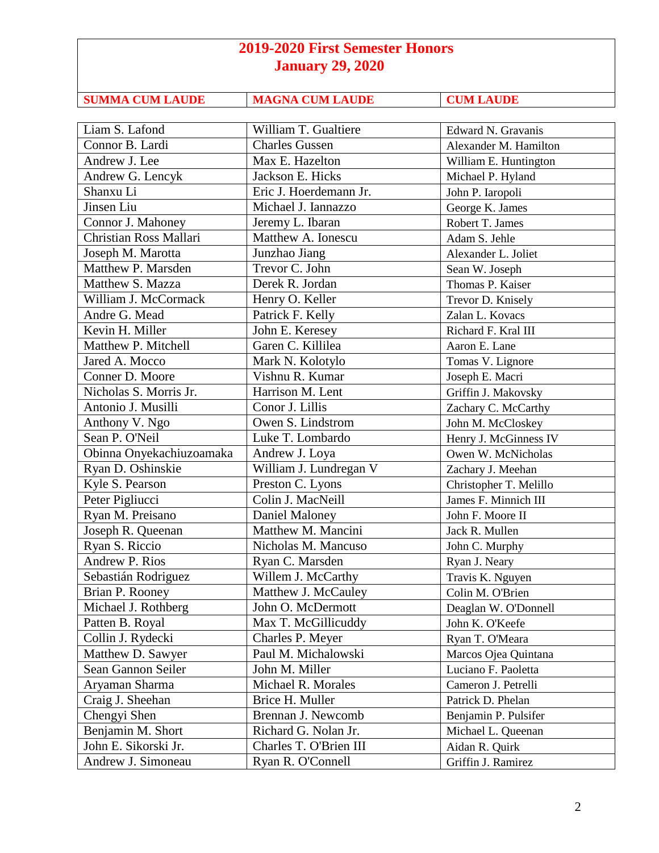| <b>SUMMA CUM LAUDE</b> |
|------------------------|
|                        |

**SUMMA CUM LAUDE CUM LAUDE** 

| Liam S. Lafond                             | William T. Gualtiere   | Edward N. Gravanis     |
|--------------------------------------------|------------------------|------------------------|
| Connor B. Lardi                            | <b>Charles Gussen</b>  | Alexander M. Hamilton  |
| Andrew J. Lee                              | Max E. Hazelton        | William E. Huntington  |
| Andrew G. Lencyk                           | Jackson E. Hicks       | Michael P. Hyland      |
| Shanxu Li                                  | Eric J. Hoerdemann Jr. | John P. Iaropoli       |
| Jinsen Liu                                 | Michael J. Iannazzo    | George K. James        |
| Connor J. Mahoney                          | Jeremy L. Ibaran       | Robert T. James        |
| <b>Christian Ross Mallari</b>              | Matthew A. Ionescu     | Adam S. Jehle          |
| Joseph M. Marotta                          | Junzhao Jiang          | Alexander L. Joliet    |
| Matthew P. Marsden                         | Trevor C. John         | Sean W. Joseph         |
| Matthew S. Mazza                           | Derek R. Jordan        | Thomas P. Kaiser       |
| William J. McCormack                       | Henry O. Keller        | Trevor D. Knisely      |
| Andre G. Mead                              | Patrick F. Kelly       | Zalan L. Kovacs        |
| Kevin H. Miller                            | John E. Keresey        | Richard F. Kral III    |
| Matthew P. Mitchell                        | Garen C. Killilea      | Aaron E. Lane          |
| Jared A. Mocco                             | Mark N. Kolotylo       | Tomas V. Lignore       |
| Conner D. Moore                            | Vishnu R. Kumar        | Joseph E. Macri        |
| Nicholas S. Morris Jr.                     | Harrison M. Lent       | Griffin J. Makovsky    |
| Antonio J. Musilli                         | Conor J. Lillis        | Zachary C. McCarthy    |
| Anthony V. Ngo                             | Owen S. Lindstrom      | John M. McCloskey      |
| Sean P. O'Neil                             | Luke T. Lombardo       | Henry J. McGinness IV  |
| Obinna Onyekachiuzoamaka                   | Andrew J. Loya         | Owen W. McNicholas     |
| Ryan D. Oshinskie                          | William J. Lundregan V | Zachary J. Meehan      |
| Kyle S. Pearson                            | Preston C. Lyons       | Christopher T. Melillo |
| Peter Pigliucci                            | Colin J. MacNeill      | James F. Minnich III   |
| Ryan M. Preisano                           | Daniel Maloney         | John F. Moore II       |
| Joseph R. Queenan                          | Matthew M. Mancini     | Jack R. Mullen         |
| Ryan S. Riccio                             | Nicholas M. Mancuso    | John C. Murphy         |
| Andrew P. Rios                             | Ryan C. Marsden        | Ryan J. Neary          |
| Sebastián Rodriguez                        | Willem J. McCarthy     | Travis K. Nguyen       |
| Brian P. Rooney                            | Matthew J. McCauley    | Colin M. O'Brien       |
| Michael J. Rothberg                        | John O. McDermott      | Deaglan W. O'Donnell   |
| Patten B. Royal                            | Max T. McGillicuddy    | John K. O'Keefe        |
| Collin J. Rydecki                          | Charles P. Meyer       | Ryan T. O'Meara        |
| Matthew D. Sawyer                          | Paul M. Michalowski    | Marcos Ojea Quintana   |
| Sean Gannon Seiler                         | John M. Miller         | Luciano F. Paoletta    |
| Aryaman Sharma                             | Michael R. Morales     | Cameron J. Petrelli    |
| Craig J. Sheehan                           | Brice H. Muller        | Patrick D. Phelan      |
| Chengyi Shen                               | Brennan J. Newcomb     | Benjamin P. Pulsifer   |
|                                            |                        |                        |
| Benjamin M. Short                          | Richard G. Nolan Jr.   | Michael L. Queenan     |
| John E. Sikorski Jr.<br>Andrew J. Simoneau | Charles T. O'Brien III | Aidan R. Quirk         |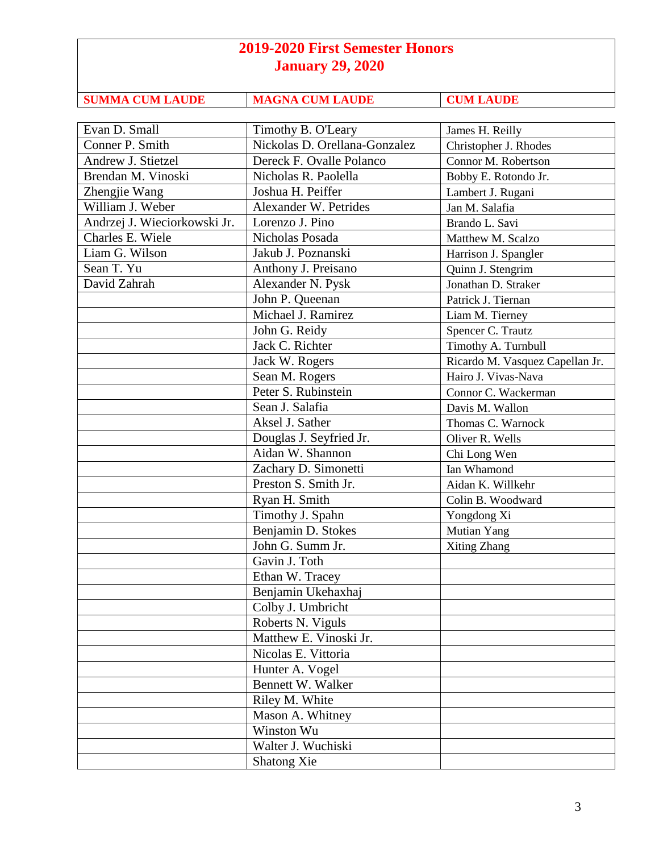| <b>January 29, 2020</b>      |                               |                       |  |
|------------------------------|-------------------------------|-----------------------|--|
| <b>SUMMA CUM LAUDE</b>       | <b>MAGNA CUM LAUDE</b>        | <b>CUM LAUDE</b>      |  |
|                              |                               |                       |  |
| Evan D. Small                | Timothy B. O'Leary            | James H. Reilly       |  |
| Conner P. Smith              | Nickolas D. Orellana-Gonzalez | Christopher J. Rhodes |  |
| Andrew J. Stietzel           | Dereck F. Ovalle Polanco      | Connor M. Robertson   |  |
| Brendan M. Vinoski           | Nicholas R. Paolella          | Bobby E. Rotondo Jr.  |  |
| Zhengjie Wang                | Joshua H. Peiffer             | Lambert J. Rugani     |  |
| William J. Weber             | Alexander W. Petrides         | Jan M. Salafia        |  |
| Andrzej J. Wieciorkowski Jr. | Lorenzo J. Pino               | Brando L. Savi        |  |
| Charles E. Wiele             | Nicholas Posada               | Matthew M. Scalzo     |  |
| Liam G. Wilson               | Jakub J. Poznanski            | Harrison J. Spangler  |  |
| Sean T. Yu                   | Anthony J. Preisano           | Quinn J. Stengrim     |  |
| David Zahrah                 | Alexander N. Pysk             | Jonathan D. Straker   |  |
|                              | John P. Queenan               | Patrick J. Tiernan    |  |
|                              |                               |                       |  |

| David Zahrah<br>Alexander N. Pysk<br>Jonathan D. Straker<br>John P. Queenan<br>Patrick J. Tiernan<br>Michael J. Ramirez<br>Liam M. Tierney<br>John G. Reidy<br>Spencer C. Trautz<br>Jack C. Richter<br>Timothy A. Turnbull<br>Jack W. Rogers<br>Ricardo M. Vasquez Capellan Jr.<br>Sean M. Rogers<br>Hairo J. Vivas-Nava<br>Peter S. Rubinstein<br>Connor C. Wackerman<br>Sean J. Salafia<br>Davis M. Wallon<br>Aksel J. Sather<br>Thomas C. Warnock<br>Douglas J. Seyfried Jr.<br>Oliver R. Wells<br>Aidan W. Shannon<br>Chi Long Wen<br>Zachary D. Simonetti<br>Ian Whamond<br>Preston S. Smith Jr.<br>Aidan K. Willkehr<br>Ryan H. Smith<br>Colin B. Woodward<br>Timothy J. Spahn<br>Yongdong Xi<br>Benjamin D. Stokes<br>Mutian Yang<br>John G. Summ Jr.<br>Xiting Zhang<br>Gavin J. Toth<br>Ethan W. Tracey<br>Benjamin Ukehaxhaj<br>Colby J. Umbricht<br>Roberts N. Viguls<br>Matthew E. Vinoski Jr.<br>Nicolas E. Vittoria<br>Hunter A. Vogel<br>Bennett W. Walker<br>Riley M. White<br>Mason A. Whitney<br>Winston Wu<br>Walter J. Wuchiski<br>Shatong Xie | Sean T. Yu | Anthony J. Preisano | Quinn J. Stengrim |
|--------------------------------------------------------------------------------------------------------------------------------------------------------------------------------------------------------------------------------------------------------------------------------------------------------------------------------------------------------------------------------------------------------------------------------------------------------------------------------------------------------------------------------------------------------------------------------------------------------------------------------------------------------------------------------------------------------------------------------------------------------------------------------------------------------------------------------------------------------------------------------------------------------------------------------------------------------------------------------------------------------------------------------------------------------------------|------------|---------------------|-------------------|
|                                                                                                                                                                                                                                                                                                                                                                                                                                                                                                                                                                                                                                                                                                                                                                                                                                                                                                                                                                                                                                                                    |            |                     |                   |
|                                                                                                                                                                                                                                                                                                                                                                                                                                                                                                                                                                                                                                                                                                                                                                                                                                                                                                                                                                                                                                                                    |            |                     |                   |
|                                                                                                                                                                                                                                                                                                                                                                                                                                                                                                                                                                                                                                                                                                                                                                                                                                                                                                                                                                                                                                                                    |            |                     |                   |
|                                                                                                                                                                                                                                                                                                                                                                                                                                                                                                                                                                                                                                                                                                                                                                                                                                                                                                                                                                                                                                                                    |            |                     |                   |
|                                                                                                                                                                                                                                                                                                                                                                                                                                                                                                                                                                                                                                                                                                                                                                                                                                                                                                                                                                                                                                                                    |            |                     |                   |
|                                                                                                                                                                                                                                                                                                                                                                                                                                                                                                                                                                                                                                                                                                                                                                                                                                                                                                                                                                                                                                                                    |            |                     |                   |
|                                                                                                                                                                                                                                                                                                                                                                                                                                                                                                                                                                                                                                                                                                                                                                                                                                                                                                                                                                                                                                                                    |            |                     |                   |
|                                                                                                                                                                                                                                                                                                                                                                                                                                                                                                                                                                                                                                                                                                                                                                                                                                                                                                                                                                                                                                                                    |            |                     |                   |
|                                                                                                                                                                                                                                                                                                                                                                                                                                                                                                                                                                                                                                                                                                                                                                                                                                                                                                                                                                                                                                                                    |            |                     |                   |
|                                                                                                                                                                                                                                                                                                                                                                                                                                                                                                                                                                                                                                                                                                                                                                                                                                                                                                                                                                                                                                                                    |            |                     |                   |
|                                                                                                                                                                                                                                                                                                                                                                                                                                                                                                                                                                                                                                                                                                                                                                                                                                                                                                                                                                                                                                                                    |            |                     |                   |
|                                                                                                                                                                                                                                                                                                                                                                                                                                                                                                                                                                                                                                                                                                                                                                                                                                                                                                                                                                                                                                                                    |            |                     |                   |
|                                                                                                                                                                                                                                                                                                                                                                                                                                                                                                                                                                                                                                                                                                                                                                                                                                                                                                                                                                                                                                                                    |            |                     |                   |
|                                                                                                                                                                                                                                                                                                                                                                                                                                                                                                                                                                                                                                                                                                                                                                                                                                                                                                                                                                                                                                                                    |            |                     |                   |
|                                                                                                                                                                                                                                                                                                                                                                                                                                                                                                                                                                                                                                                                                                                                                                                                                                                                                                                                                                                                                                                                    |            |                     |                   |
|                                                                                                                                                                                                                                                                                                                                                                                                                                                                                                                                                                                                                                                                                                                                                                                                                                                                                                                                                                                                                                                                    |            |                     |                   |
|                                                                                                                                                                                                                                                                                                                                                                                                                                                                                                                                                                                                                                                                                                                                                                                                                                                                                                                                                                                                                                                                    |            |                     |                   |
|                                                                                                                                                                                                                                                                                                                                                                                                                                                                                                                                                                                                                                                                                                                                                                                                                                                                                                                                                                                                                                                                    |            |                     |                   |
|                                                                                                                                                                                                                                                                                                                                                                                                                                                                                                                                                                                                                                                                                                                                                                                                                                                                                                                                                                                                                                                                    |            |                     |                   |
|                                                                                                                                                                                                                                                                                                                                                                                                                                                                                                                                                                                                                                                                                                                                                                                                                                                                                                                                                                                                                                                                    |            |                     |                   |
|                                                                                                                                                                                                                                                                                                                                                                                                                                                                                                                                                                                                                                                                                                                                                                                                                                                                                                                                                                                                                                                                    |            |                     |                   |
|                                                                                                                                                                                                                                                                                                                                                                                                                                                                                                                                                                                                                                                                                                                                                                                                                                                                                                                                                                                                                                                                    |            |                     |                   |
|                                                                                                                                                                                                                                                                                                                                                                                                                                                                                                                                                                                                                                                                                                                                                                                                                                                                                                                                                                                                                                                                    |            |                     |                   |
|                                                                                                                                                                                                                                                                                                                                                                                                                                                                                                                                                                                                                                                                                                                                                                                                                                                                                                                                                                                                                                                                    |            |                     |                   |
|                                                                                                                                                                                                                                                                                                                                                                                                                                                                                                                                                                                                                                                                                                                                                                                                                                                                                                                                                                                                                                                                    |            |                     |                   |
|                                                                                                                                                                                                                                                                                                                                                                                                                                                                                                                                                                                                                                                                                                                                                                                                                                                                                                                                                                                                                                                                    |            |                     |                   |
|                                                                                                                                                                                                                                                                                                                                                                                                                                                                                                                                                                                                                                                                                                                                                                                                                                                                                                                                                                                                                                                                    |            |                     |                   |
|                                                                                                                                                                                                                                                                                                                                                                                                                                                                                                                                                                                                                                                                                                                                                                                                                                                                                                                                                                                                                                                                    |            |                     |                   |
|                                                                                                                                                                                                                                                                                                                                                                                                                                                                                                                                                                                                                                                                                                                                                                                                                                                                                                                                                                                                                                                                    |            |                     |                   |
|                                                                                                                                                                                                                                                                                                                                                                                                                                                                                                                                                                                                                                                                                                                                                                                                                                                                                                                                                                                                                                                                    |            |                     |                   |
|                                                                                                                                                                                                                                                                                                                                                                                                                                                                                                                                                                                                                                                                                                                                                                                                                                                                                                                                                                                                                                                                    |            |                     |                   |
|                                                                                                                                                                                                                                                                                                                                                                                                                                                                                                                                                                                                                                                                                                                                                                                                                                                                                                                                                                                                                                                                    |            |                     |                   |